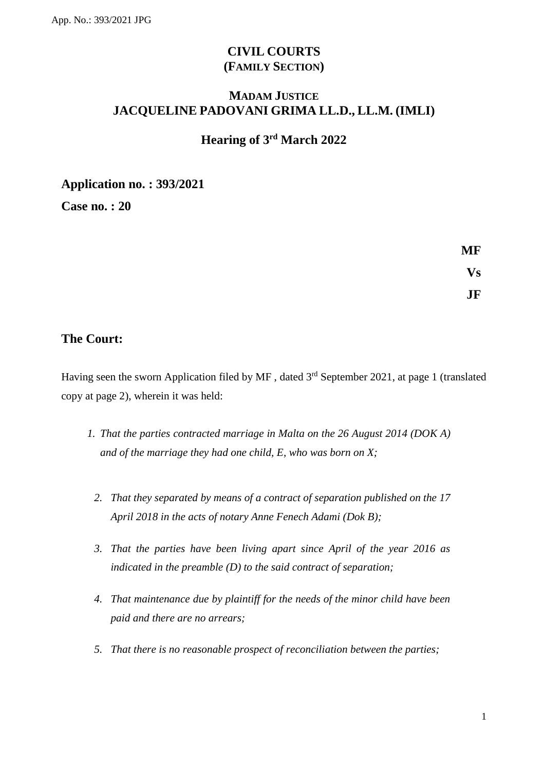# **CIVIL COURTS (FAMILY SECTION)**

# **MADAM JUSTICE JACQUELINE PADOVANI GRIMA LL.D., LL.M. (IMLI)**

# **Hearing of 3 rd March 2022**

**Application no. : 393/2021**

**Case no. : 20**

**MF Vs JF**

### **The Court:**

Having seen the sworn Application filed by MF, dated 3<sup>rd</sup> September 2021, at page 1 (translated copy at page 2), wherein it was held:

- *1. That the parties contracted marriage in Malta on the 26 August 2014 (DOK A) and of the marriage they had one child, E, who was born on X;*
	- *2. That they separated by means of a contract of separation published on the 17 April 2018 in the acts of notary Anne Fenech Adami (Dok B);*
	- *3. That the parties have been living apart since April of the year 2016 as indicated in the preamble (D) to the said contract of separation;*
	- *4. That maintenance due by plaintiff for the needs of the minor child have been paid and there are no arrears;*
	- *5. That there is no reasonable prospect of reconciliation between the parties;*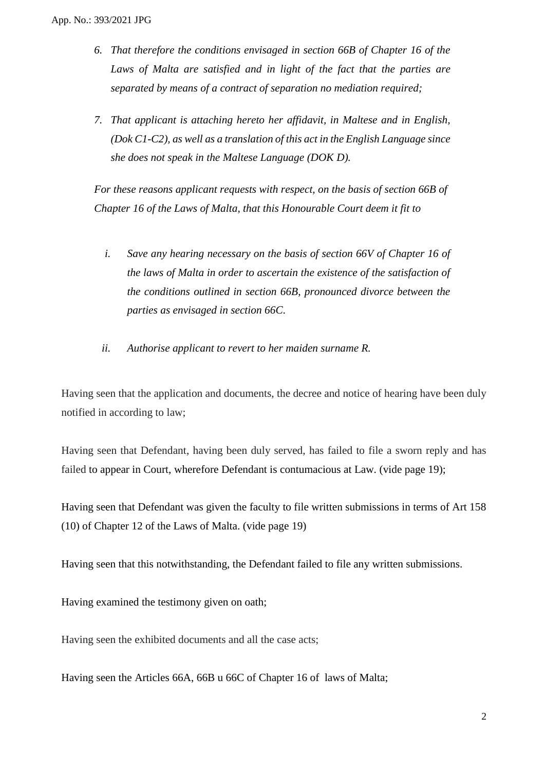- *6. That therefore the conditions envisaged in section 66B of Chapter 16 of the Laws of Malta are satisfied and in light of the fact that the parties are separated by means of a contract of separation no mediation required;*
- *7. That applicant is attaching hereto her affidavit, in Maltese and in English, (Dok C1-C2), as well as a translation of this act in the English Language since she does not speak in the Maltese Language (DOK D).*

*For these reasons applicant requests with respect, on the basis of section 66B of Chapter 16 of the Laws of Malta, that this Honourable Court deem it fit to*

- *i. Save any hearing necessary on the basis of section 66V of Chapter 16 of the laws of Malta in order to ascertain the existence of the satisfaction of the conditions outlined in section 66B, pronounced divorce between the parties as envisaged in section 66C.*
- *ii. Authorise applicant to revert to her maiden surname R.*

Having seen that the application and documents, the decree and notice of hearing have been duly notified in according to law;

Having seen that Defendant, having been duly served, has failed to file a sworn reply and has failed to appear in Court, wherefore Defendant is contumacious at Law. (vide page 19);

Having seen that Defendant was given the faculty to file written submissions in terms of Art 158 (10) of Chapter 12 of the Laws of Malta. (vide page 19)

Having seen that this notwithstanding, the Defendant failed to file any written submissions.

Having examined the testimony given on oath;

Having seen the exhibited documents and all the case acts;

Having seen the Articles 66A, 66B u 66C of Chapter 16 of laws of Malta;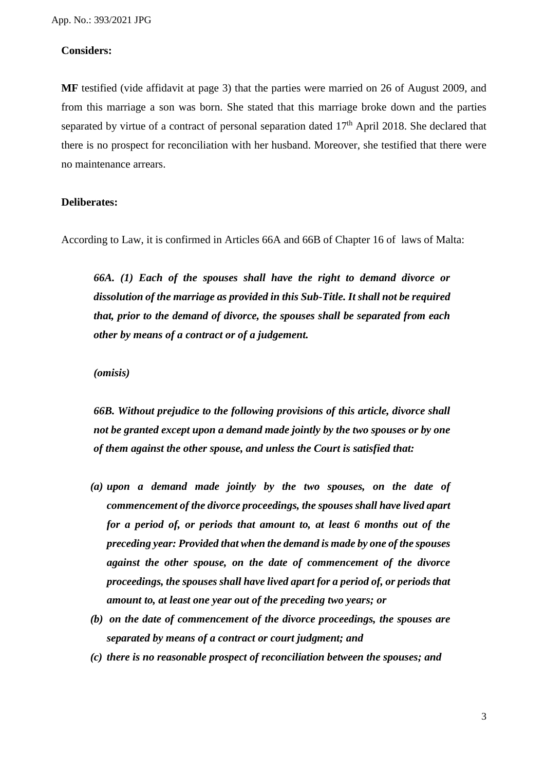#### **Considers:**

**MF** testified (vide affidavit at page 3) that the parties were married on 26 of August 2009, and from this marriage a son was born. She stated that this marriage broke down and the parties separated by virtue of a contract of personal separation dated 17<sup>th</sup> April 2018. She declared that there is no prospect for reconciliation with her husband. Moreover, she testified that there were no maintenance arrears.

#### **Deliberates:**

According to Law, it is confirmed in Articles 66A and 66B of Chapter 16 of laws of Malta:

*66A. (1) Each of the spouses shall have the right to demand divorce or dissolution of the marriage as provided in this Sub-Title. It shall not be required that, prior to the demand of divorce, the spouses shall be separated from each other by means of a contract or of a judgement.* 

*(omisis)*

*66B. Without prejudice to the following provisions of this article, divorce shall not be granted except upon a demand made jointly by the two spouses or by one of them against the other spouse, and unless the Court is satisfied that:*

- *(a) upon a demand made jointly by the two spouses, on the date of commencement of the divorce proceedings, the spouses shall have lived apart for a period of, or periods that amount to, at least 6 months out of the preceding year: Provided that when the demand is made by one of the spouses against the other spouse, on the date of commencement of the divorce proceedings, the spouses shall have lived apart for a period of, or periods that amount to, at least one year out of the preceding two years; or*
- *(b) on the date of commencement of the divorce proceedings, the spouses are separated by means of a contract or court judgment; and*
- *(c) there is no reasonable prospect of reconciliation between the spouses; and*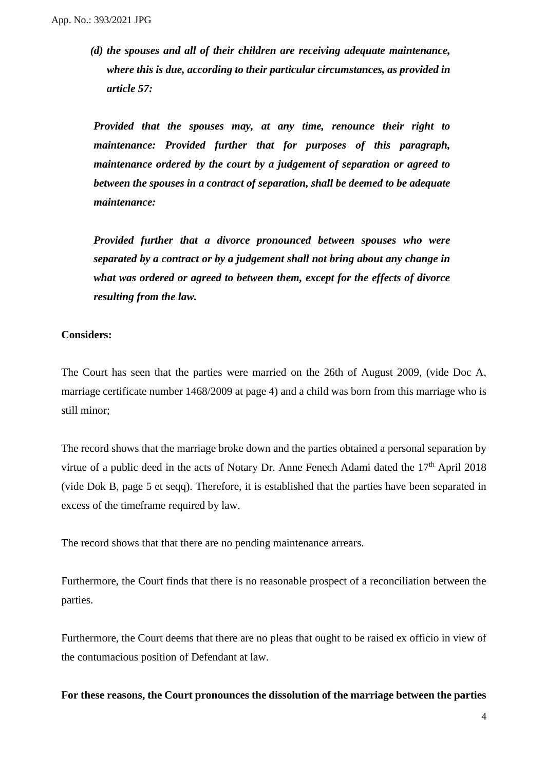*(d) the spouses and all of their children are receiving adequate maintenance, where this is due, according to their particular circumstances, as provided in article 57:*

*Provided that the spouses may, at any time, renounce their right to maintenance: Provided further that for purposes of this paragraph, maintenance ordered by the court by a judgement of separation or agreed to between the spouses in a contract of separation, shall be deemed to be adequate maintenance:* 

*Provided further that a divorce pronounced between spouses who were separated by a contract or by a judgement shall not bring about any change in what was ordered or agreed to between them, except for the effects of divorce resulting from the law.*

#### **Considers:**

The Court has seen that the parties were married on the 26th of August 2009, (vide Doc A, marriage certificate number 1468/2009 at page 4) and a child was born from this marriage who is still minor;

The record shows that the marriage broke down and the parties obtained a personal separation by virtue of a public deed in the acts of Notary Dr. Anne Fenech Adami dated the 17<sup>th</sup> April 2018 (vide Dok B, page 5 et seqq). Therefore, it is established that the parties have been separated in excess of the timeframe required by law.

The record shows that that there are no pending maintenance arrears.

Furthermore, the Court finds that there is no reasonable prospect of a reconciliation between the parties.

Furthermore, the Court deems that there are no pleas that ought to be raised ex officio in view of the contumacious position of Defendant at law.

**For these reasons, the Court pronounces the dissolution of the marriage between the parties**